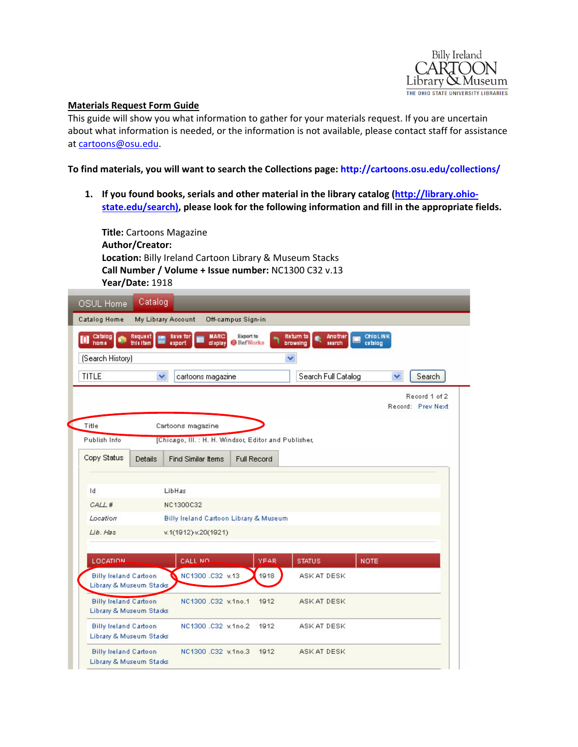

## **Materials Request Form Guide**

This guide will show you what information to gather for your materials request. If you are uncertain about what information is needed, or the information is not available, please contact staff for assistance at cartoons@osu.edu.

**To find materials, you will want to search the Collections page: http://cartoons.osu.edu/collections/**

**1. If you found books, serials and other material in the library catalog (http://library.ohio‐ state.edu/search), please look for the following information and fill in the appropriate fields.** 

**Title:** Cartoons Magazine **Author/Creator: Location:** Billy Ireland Cartoon Library & Museum Stacks **Call Number / Volume + Issue number:** NC1300 C32 v.13 **Year/Date:** 1918

| OSUL Home                                               | Catalog                 |                                                      |                                |                                                   |                             |                                    |  |  |  |
|---------------------------------------------------------|-------------------------|------------------------------------------------------|--------------------------------|---------------------------------------------------|-----------------------------|------------------------------------|--|--|--|
| Catalog Home                                            | My Library Account      |                                                      | Off-campus Sign-in             |                                                   |                             |                                    |  |  |  |
| Catalog<br>home                                         | Request<br>this item    | <b>MARC</b><br>Save for<br>export<br>display         | Export to<br><b>B</b> RefWorks | Return to<br>Another<br>browling<br><b>IBSTCh</b> | <b>Ohio LINK</b><br>catalog |                                    |  |  |  |
| (Search History)<br>Ÿ                                   |                         |                                                      |                                |                                                   |                             |                                    |  |  |  |
| <b>TITLE</b>                                            | v                       | cartoons magazine                                    |                                | Search Full Catalog                               |                             | Search<br>$\checkmark$             |  |  |  |
|                                                         |                         |                                                      |                                |                                                   |                             | Record 1 of 2<br>Record: Prev Next |  |  |  |
|                                                         |                         |                                                      |                                |                                                   |                             |                                    |  |  |  |
| Title                                                   |                         | Cartoons magazine.                                   |                                |                                                   |                             |                                    |  |  |  |
| Publish Info                                            |                         | [Chicago, III.: H. H. Windsor, Editor and Publisher, |                                |                                                   |                             |                                    |  |  |  |
| Copy Status                                             | <b>Details</b>          | <b>Find Similar Items</b>                            | <b>Full Record</b>             |                                                   |                             |                                    |  |  |  |
|                                                         |                         |                                                      |                                |                                                   |                             |                                    |  |  |  |
| 1d                                                      |                         | LibHas                                               |                                |                                                   |                             |                                    |  |  |  |
| CALL #                                                  |                         | NC1300C32                                            |                                |                                                   |                             |                                    |  |  |  |
| Location                                                |                         | Billy Ireland Cartoon Library & Museum               |                                |                                                   |                             |                                    |  |  |  |
| Lib. Has                                                |                         | v.1(1912)-v.20(1921)                                 |                                |                                                   |                             |                                    |  |  |  |
|                                                         |                         |                                                      |                                |                                                   |                             |                                    |  |  |  |
| <b>LOCATION</b>                                         |                         | CALL NO                                              | YEAR                           | <b>STATUS</b>                                     | <b>NOTE</b>                 |                                    |  |  |  |
| <b>Billy Ireland Cartoon</b>                            | Library & Museum Stades | NC1300 .C32 v.13                                     | 1918                           | ASK AT DESK                                       |                             |                                    |  |  |  |
| <b>Billy Ireland Cartoon</b><br>Library & Museum Stades |                         | NC1300 .C32 v.1no.1                                  | 1912                           | ASK AT DESK                                       |                             |                                    |  |  |  |
| <b>Billy Ireland Cartoon</b><br>Library & Museum Stades |                         | NC1300 .C32 v.1no.2                                  | 1912                           | ASK AT DESK                                       |                             |                                    |  |  |  |
| <b>Billy Ireland Cartoon</b>                            | Library & Museum Stades | NC1300 .C32 v.1no.3                                  | 1912                           | ASK AT DESK                                       |                             |                                    |  |  |  |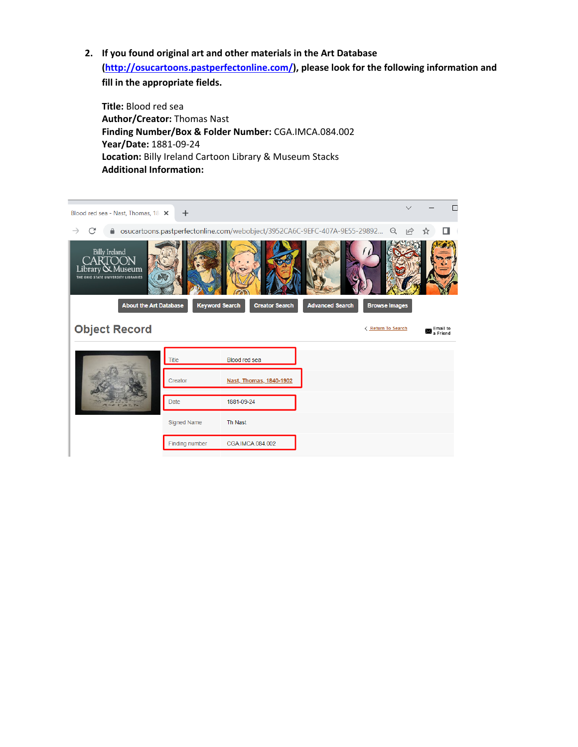**2. If you found original art and other materials in the Art Database (http://osucartoons.pastperfectonline.com/), please look for the following information and fill in the appropriate fields.** 

**Title:** Blood red sea **Author/Creator:** Thomas Nast **Finding Number/Box & Folder Number:** CGA.IMCA.084.002 **Year/Date:** 1881‐09‐24 **Location:** Billy Ireland Cartoon Library & Museum Stacks **Additional Information:**

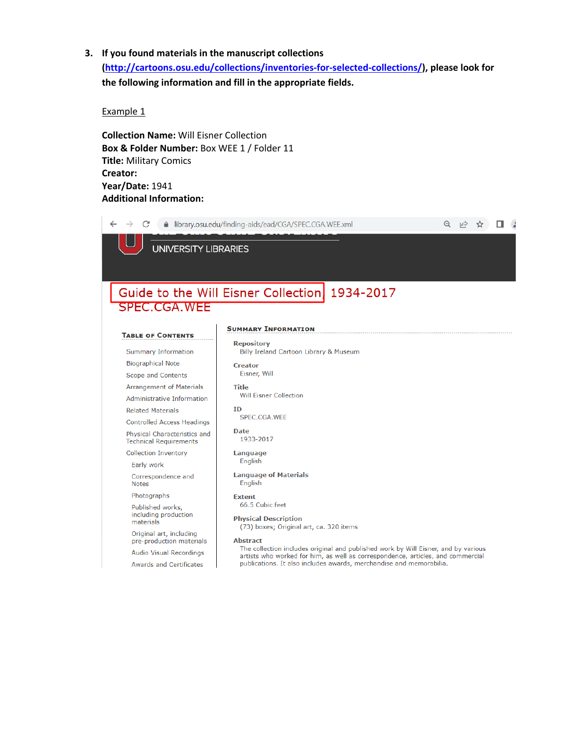**3. If you found materials in the manuscript collections (http://cartoons.osu.edu/collections/inventories‐for‐selected‐collections/), please look for the following information and fill in the appropriate fields.** 

Example 1

**Collection Name:** Will Eisner Collection **Box & Folder Number:** Box WEE 1 / Folder 11 **Title:** Military Comics **Creator: Year/Date:** 1941 **Additional Information:** 

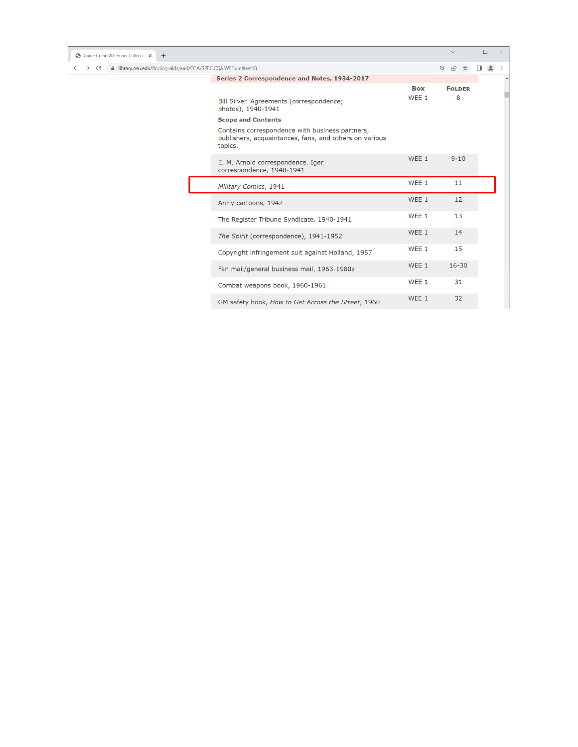| Guide to the Will Eisner Collection X<br>$+$                                                        |                                                                                                                      |                  |                    | $\Box$ | $\times$ |
|-----------------------------------------------------------------------------------------------------|----------------------------------------------------------------------------------------------------------------------|------------------|--------------------|--------|----------|
| ● library.osu.edu/finding-aids/ead/CGA/SPEC.CGA.WEE.xml#ref18<br>C<br>$\rightarrow$<br>$\leftarrow$ |                                                                                                                      |                  | $Q \neq \emptyset$ |        |          |
|                                                                                                     | Series 2 Correspondence and Notes, 1934-2017                                                                         |                  |                    |        |          |
|                                                                                                     |                                                                                                                      | <b>Box</b>       | <b>FOLDER</b>      |        |          |
|                                                                                                     | Bill Silver. Agreements (correspondence;<br>photos), 1940-1941                                                       | WEE 1            | 8                  |        |          |
|                                                                                                     | <b>Scope and Contents</b>                                                                                            |                  |                    |        |          |
|                                                                                                     | Contains correspondence with business partners,<br>publishers, acquaintances, fans, and others on various<br>topics. |                  |                    |        |          |
|                                                                                                     | E. M. Arnold correspondence. Iger<br>correspondence, 1940-1941                                                       | WEE 1            | $9 - 10$           |        |          |
|                                                                                                     | Military Comics, 1941                                                                                                | WEE 1            | 11                 |        |          |
|                                                                                                     | Army cartoons, 1942                                                                                                  | WEE 1            | 12                 |        |          |
|                                                                                                     | The Register Tribune Syndicate, 1940-1941                                                                            | WEE 1            | 13                 |        |          |
|                                                                                                     | The Spirit (correspondence), 1941-1952                                                                               | WEE <sub>1</sub> | 14                 |        |          |
|                                                                                                     | Copyright infringement suit against Holland, 1957                                                                    | WEE 1            | 15                 |        |          |
|                                                                                                     | Fan mail/general business mail, 1963-1980s                                                                           | WEE 1            | $16 - 30$          |        |          |
|                                                                                                     | Combat weapons book, 1960-1961                                                                                       | WEE <sub>1</sub> | 31                 |        |          |
|                                                                                                     | GM safety book, How to Get Across the Street, 1960                                                                   | WEE 1            | 32                 |        |          |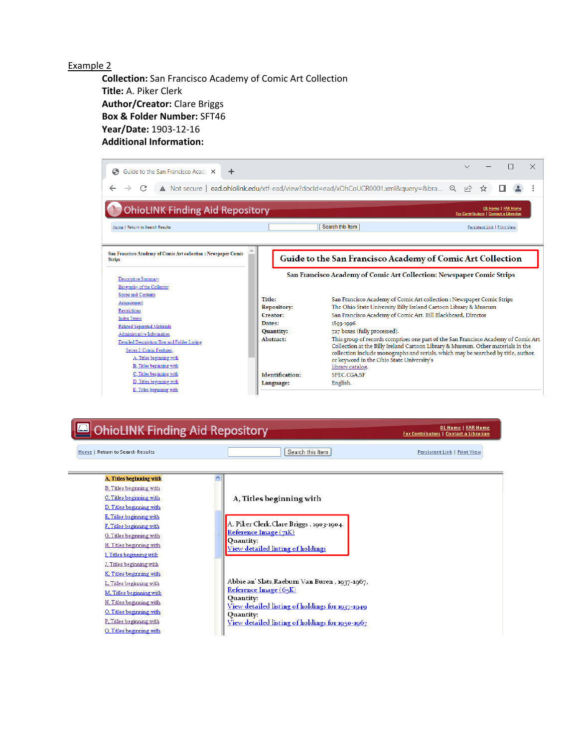Example 2

**Collection:** San Francisco Academy of Comic Art Collection **Title:** A. Piker Clerk **Author/Creator:** Clare Briggs **Box & Folder Number:** SFT46 **Year/Date:** 1903‐12‐16 **Additional Information:**

| Guide to the San Francisco Acade X<br>G<br>$\pm$                                                     |                                          |                                                                                                                                                                                                                                                              |  |                                     |   |                                                                     | $\times$ |  |
|------------------------------------------------------------------------------------------------------|------------------------------------------|--------------------------------------------------------------------------------------------------------------------------------------------------------------------------------------------------------------------------------------------------------------|--|-------------------------------------|---|---------------------------------------------------------------------|----------|--|
|                                                                                                      |                                          | A Not secure ead.ohiolink.edu/xtf-ead/view?docld=ead/xOhCoUCR0001.xml&query=&bra Q                                                                                                                                                                           |  | $\overrightarrow{P}$                | ☆ |                                                                     |          |  |
| <b>OhioLINK Finding Aid Repository</b>                                                               |                                          |                                                                                                                                                                                                                                                              |  |                                     |   | <b>OL Home   FAR Home</b><br>For Contributors   Contact a Librarian |          |  |
| Home   Return to Search Results                                                                      |                                          | Search this Item                                                                                                                                                                                                                                             |  | <b>Persistent Link   Print View</b> |   |                                                                     |          |  |
| <b>Descriptive Summary</b><br><b>Biography of the Collector</b><br>Scope and Contents                |                                          | San Francisco Academy of Comic Art Collection: Newspaper Comic Strips                                                                                                                                                                                        |  |                                     |   |                                                                     |          |  |
| Arrangement<br>Restrictions                                                                          | Title:<br><b>Repository:</b><br>Creator: | San Francisco Academy of Comic Art collection : Newspaper Comic Strips<br>The Ohio State University Billy Ireland Cartoon Library & Museum<br>San Francisco Academy of Comic Art. Bill Blackbeard, Director                                                  |  |                                     |   |                                                                     |          |  |
| <b>Index Terms</b><br>Related/Separated Materials<br>Administrative Information                      | Dates:<br><b>Quantity:</b>               | 1803-1006<br>727 boxes (fully processed).                                                                                                                                                                                                                    |  |                                     |   |                                                                     |          |  |
| Detailed Description/Box and Folder Listing<br>Series I: Comic Features.<br>A. Titles beginning with | Abstract:                                | This group of records comprises one part of the San Francisco Academy of Comic Art<br>Collection at the Billy Ireland Cartoon Library & Museum. Other materials in the<br>collection include monographs and serials, which may be searched by title, author, |  |                                     |   |                                                                     |          |  |
| <b>B.</b> Titles beginning with<br>C. Titles beginning with                                          | <b>Identification:</b>                   | or keyword in the Ohio State University's<br>library catalog.<br>SPEC.CGA.SF                                                                                                                                                                                 |  |                                     |   |                                                                     |          |  |
|                                                                                                      |                                          | English.                                                                                                                                                                                                                                                     |  |                                     |   |                                                                     |          |  |

| <b>OhioLINK Finding Aid Repository</b>                                                                                                                                                                                                                                                                                                                                                                                                                                                   | <b>OL Home   FAR Home</b><br>For Contributors   Contact a Librarian                                                                                                                                                                                                                                                                                             |                              |
|------------------------------------------------------------------------------------------------------------------------------------------------------------------------------------------------------------------------------------------------------------------------------------------------------------------------------------------------------------------------------------------------------------------------------------------------------------------------------------------|-----------------------------------------------------------------------------------------------------------------------------------------------------------------------------------------------------------------------------------------------------------------------------------------------------------------------------------------------------------------|------------------------------|
| Home   Return to Search Results                                                                                                                                                                                                                                                                                                                                                                                                                                                          | Search this Item                                                                                                                                                                                                                                                                                                                                                | Persistent Link   Print View |
| A, Titles beginning with<br>B, Titles beginning with<br>C, Titles beginning with<br>D. Titles beginning with<br>E, Titles beginning with<br>F, Titles beginning with<br>G, Titles beginning with<br>H, Titles beginning with<br>I, Titles beginning with<br>J. Titles beginning with<br>K. Titles beginning with<br>L. Titles beginning with<br>M, Titles beginning with<br>N, Titles beginning with<br>O, Titles beginning with<br>P. Titles beginning with<br>Q, Titles beginning with | ۸<br>A, Titles beginning with<br>A. Piker Clerk, Clare Briggs, 1903-1904,<br>Reference Image (71K)<br>Quantity:<br>View detailed listing of holdings<br>Abbie an' Slats, Raeburn Van Buren, 1937-1967,<br>Reference Image (65K)<br>Quantity:<br>View detailed listing of holdings for 1937-1949<br>Quantity:<br>View detailed listing of holdings for 1950-1967 |                              |